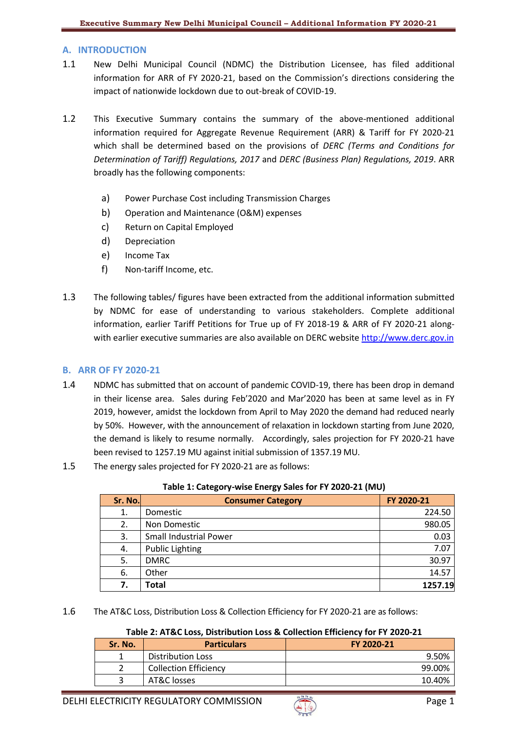# **A. INTRODUCTION**

- 1.1 New Delhi Municipal Council (NDMC) the Distribution Licensee, has filed additional information for ARR of FY 2020-21, based on the Commission's directions considering the impact of nationwide lockdown due to out-break of COVID-19.
- 1.2 This Executive Summary contains the summary of the above-mentioned additional information required for Aggregate Revenue Requirement (ARR) & Tariff for FY 2020-21 which shall be determined based on the provisions of *DERC (Terms and Conditions for Determination of Tariff) Regulations, 2017* and *DERC (Business Plan) Regulations, 2019*. ARR broadly has the following components:
	- a) Power Purchase Cost including Transmission Charges
	- b) Operation and Maintenance (O&M) expenses
	- c) Return on Capital Employed
	- d) Depreciation
	- e) Income Tax
	- f) Non-tariff Income, etc.
- 1.3 The following tables/ figures have been extracted from the additional information submitted by NDMC for ease of understanding to various stakeholders. Complete additional information, earlier Tariff Petitions for True up of FY 2018-19 & ARR of FY 2020-21 alongwith earlier executive summaries are also available on DERC website [http://www.derc.gov.in](http://www.derc.gov.in/)

# **B. ARR OF FY 2020-21**

- 1.4 NDMC has submitted that on account of pandemic COVID-19, there has been drop in demand in their license area. Sales during Feb'2020 and Mar'2020 has been at same level as in FY 2019, however, amidst the lockdown from April to May 2020 the demand had reduced nearly by 50%. However, with the announcement of relaxation in lockdown starting from June 2020, the demand is likely to resume normally. Accordingly, sales projection for FY 2020-21 have been revised to 1257.19 MU against initial submission of 1357.19 MU.
- 1.5 The energy sales projected for FY 2020-21 are as follows:

| Sr. No. | <b>Consumer Category</b>      | FY 2020-21 |
|---------|-------------------------------|------------|
| 1.      | Domestic                      | 224.50     |
| 2.      | Non Domestic                  | 980.05     |
| 3.      | <b>Small Industrial Power</b> | 0.03       |
| 4.      | <b>Public Lighting</b>        | 7.07       |
| 5.      | <b>DMRC</b>                   | 30.97      |
| 6.      | Other                         | 14.57      |
| 7.      | <b>Total</b>                  | 1257.19    |

## **Table 1: Category-wise Energy Sales for FY 2020-21 (MU)**

1.6 The AT&C Loss, Distribution Loss & Collection Efficiency for FY 2020-21 are as follows:

#### **Table 2: AT&C Loss, Distribution Loss & Collection Efficiency for FY 2020-21**

| Sr. No. | <b>Particulars</b>           | FY 2020-21 |
|---------|------------------------------|------------|
|         | Distribution Loss            | 9.50%      |
|         | <b>Collection Efficiency</b> | 99.00%     |
|         | AT&C losses                  | 10.40%     |

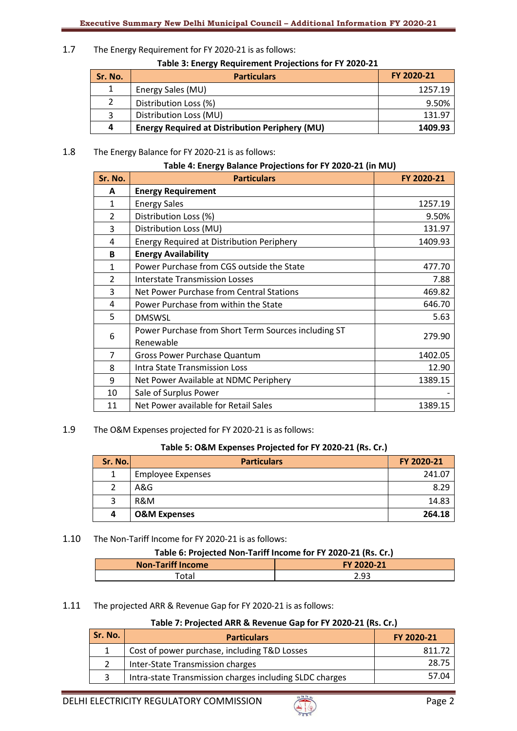1.7 The Energy Requirement for FY 2020-21 is as follows:

**Table 3: Energy Requirement Projections for FY 2020-21**

| Sr. No. | <b>Particulars</b>                                    | FY 2020-21 |
|---------|-------------------------------------------------------|------------|
|         | Energy Sales (MU)                                     | 1257.19    |
| 2       | Distribution Loss (%)                                 | 9.50%      |
| 3       | Distribution Loss (MU)                                | 131.97     |
| 4       | <b>Energy Required at Distribution Periphery (MU)</b> | 1409.93    |

1.8 The Energy Balance for FY 2020-21 is as follows:

|  |  | Table 4: Energy Balance Projections for FY 2020-21 (in MU) |
|--|--|------------------------------------------------------------|
|--|--|------------------------------------------------------------|

| Sr. No.        | <b>Particulars</b>                                               | FY 2020-21 |
|----------------|------------------------------------------------------------------|------------|
| A              | <b>Energy Requirement</b>                                        |            |
| $\mathbf{1}$   | <b>Energy Sales</b>                                              | 1257.19    |
| $\overline{2}$ | Distribution Loss (%)                                            | 9.50%      |
| 3              | Distribution Loss (MU)                                           | 131.97     |
| 4              | <b>Energy Required at Distribution Periphery</b>                 | 1409.93    |
| B              | <b>Energy Availability</b>                                       |            |
| 1              | Power Purchase from CGS outside the State                        | 477.70     |
| $\mathcal{P}$  | <b>Interstate Transmission Losses</b>                            | 7.88       |
| 3              | Net Power Purchase from Central Stations                         | 469.82     |
| 4              | Power Purchase from within the State                             | 646.70     |
| 5              | <b>DMSWSL</b>                                                    | 5.63       |
| 6              | Power Purchase from Short Term Sources including ST<br>Renewable | 279.90     |
| 7              | <b>Gross Power Purchase Quantum</b>                              | 1402.05    |
| 8              | Intra State Transmission Loss                                    | 12.90      |
| 9              | Net Power Available at NDMC Periphery                            | 1389.15    |
| 10             | Sale of Surplus Power                                            |            |
| 11             | Net Power available for Retail Sales                             | 1389.15    |

1.9 The O&M Expenses projected for FY 2020-21 is as follows:

## **Table 5: O&M Expenses Projected for FY 2020-21 (Rs. Cr.)**

| Sr. No. | <b>Particulars</b>       | FY 2020-21 |
|---------|--------------------------|------------|
|         | <b>Employee Expenses</b> | 241.07     |
|         | A&G                      | 8.29       |
|         | R&M                      | 14.83      |
| 4       | <b>O&amp;M Expenses</b>  | 264.18     |

## 1.10 The Non-Tariff Income for FY 2020-21 is as follows:

## **Table 6: Projected Non-Tariff Income for FY 2020-21 (Rs. Cr.)**

| <b>Non-Tariff Income</b> | FY 2020-21 |
|--------------------------|------------|
| 'otal                    | 2.93       |
|                          |            |

## 1.11 The projected ARR & Revenue Gap for FY 2020-21 is as follows:

## **Table 7: Projected ARR & Revenue Gap for FY 2020-21 (Rs. Cr.)**

| Sr. No. | <b>Particulars</b>                                      | FY 2020-21 |
|---------|---------------------------------------------------------|------------|
|         | Cost of power purchase, including T&D Losses            | 811.72     |
|         | Inter-State Transmission charges                        | 28.75      |
|         | Intra-state Transmission charges including SLDC charges | 57.04      |